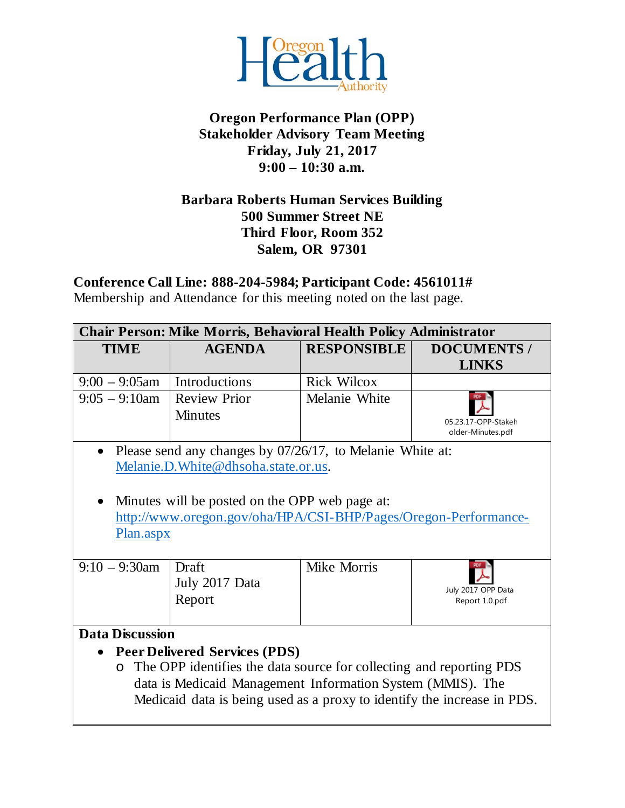

# **Oregon Performance Plan (OPP) Stakeholder Advisory Team Meeting Friday, July 21, 2017 9:00 – 10:30 a.m.**

### **Barbara Roberts Human Services Building 500 Summer Street NE Third Floor, Room 352 Salem, OR 97301**

**Conference Call Line: 888-204-5984; Participant Code: 4561011#**

Membership and Attendance for this meeting noted on the last page.

| <b>AGENDA</b><br><b>RESPONSIBLE</b><br><b>TIME</b>                              | <b>DOCUMENTS /</b>  |  |  |  |
|---------------------------------------------------------------------------------|---------------------|--|--|--|
|                                                                                 |                     |  |  |  |
|                                                                                 | <b>LINKS</b>        |  |  |  |
| Introductions<br>$9:00 - 9:05$ am<br><b>Rick Wilcox</b>                         |                     |  |  |  |
| <b>Review Prior</b><br>Melanie White<br>$9:05 - 9:10$ am                        |                     |  |  |  |
| <b>Minutes</b>                                                                  | 05.23.17-OPP-Stakeh |  |  |  |
|                                                                                 | older-Minutes.pdf   |  |  |  |
| Please send any changes by 07/26/17, to Melanie White at:<br>$\bullet$          |                     |  |  |  |
| Melanie.D. White@dhsoha.state.or.us.                                            |                     |  |  |  |
|                                                                                 |                     |  |  |  |
| Minutes will be posted on the OPP web page at:<br>$\bullet$                     |                     |  |  |  |
| http://www.oregon.gov/oha/HPA/CSI-BHP/Pages/Oregon-Performance-                 |                     |  |  |  |
| Plan.aspx                                                                       |                     |  |  |  |
|                                                                                 |                     |  |  |  |
| Mike Morris<br>$9:10 - 9:30$ am<br>Draft                                        |                     |  |  |  |
| July 2017 Data                                                                  | July 2017 OPP Data  |  |  |  |
| Report                                                                          | Report 1.0.pdf      |  |  |  |
|                                                                                 |                     |  |  |  |
| <b>Data Discussion</b>                                                          |                     |  |  |  |
| <b>Peer Delivered Services (PDS)</b><br>$\bullet$                               |                     |  |  |  |
| The OPP identifies the data source for collecting and reporting PDS<br>$\Omega$ |                     |  |  |  |
| data is Medicaid Management Information System (MMIS). The                      |                     |  |  |  |
| Medicaid data is being used as a proxy to identify the increase in PDS.         |                     |  |  |  |
|                                                                                 |                     |  |  |  |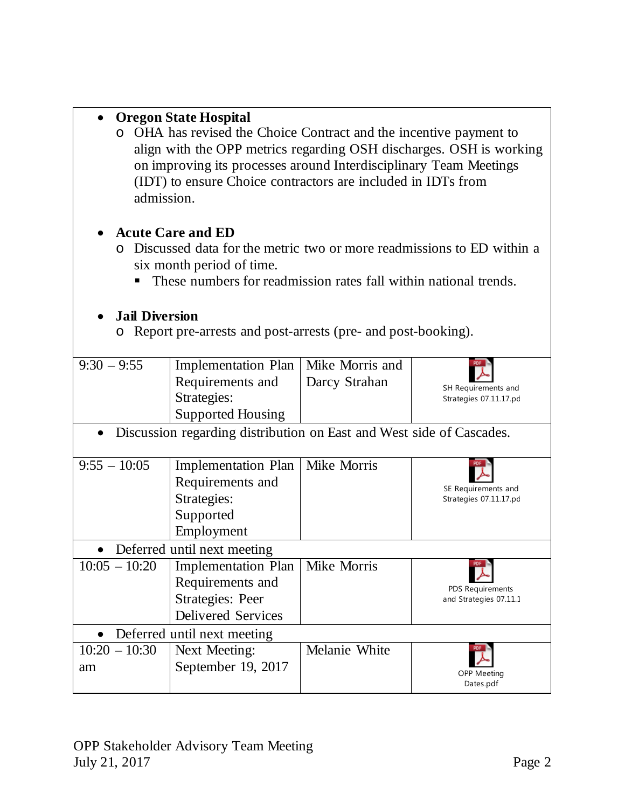# • **Oregon State Hospital**

o OHA has revised the Choice Contract and the incentive payment to align with the OPP metrics regarding OSH discharges. OSH is working on improving its processes around Interdisciplinary Team Meetings (IDT) to ensure Choice contractors are included in IDTs from admission.

# • **Acute Care and ED**

- o Discussed data for the metric two or more readmissions to ED within a six month period of time.
	- These numbers for readmission rates fall within national trends.

# • **Jail Diversion**

o Report pre-arrests and post-arrests (pre- and post-booking).

| $9:30 - 9:55$                                                                     | <b>Implementation Plan</b><br>Requirements and<br>Strategies:                                   | Mike Morris and<br>Darcy Strahan | SH Requirements and<br>Strategies 07.11.17.pd     |  |
|-----------------------------------------------------------------------------------|-------------------------------------------------------------------------------------------------|----------------------------------|---------------------------------------------------|--|
|                                                                                   | <b>Supported Housing</b>                                                                        |                                  |                                                   |  |
| Discussion regarding distribution on East and West side of Cascades.<br>$\bullet$ |                                                                                                 |                                  |                                                   |  |
| $9:55 - 10:05$                                                                    | <b>Implementation Plan</b><br>Requirements and<br>Strategies:<br>Supported<br>Employment        | Mike Morris                      | SE Requirements and<br>Strategies 07.11.17.pd     |  |
| Deferred until next meeting<br>$\bullet$                                          |                                                                                                 |                                  |                                                   |  |
| $10:05 - 10:20$                                                                   | <b>Implementation Plan</b><br>Requirements and<br>Strategies: Peer<br><b>Delivered Services</b> | Mike Morris                      | <b>PDS Requirements</b><br>and Strategies 07.11.1 |  |
| Deferred until next meeting                                                       |                                                                                                 |                                  |                                                   |  |
| $10:20 - 10:30$<br>am                                                             | Next Meeting:<br>September 19, 2017                                                             | Melanie White                    | <b>OPP Meeting</b><br>Dates.pdf                   |  |